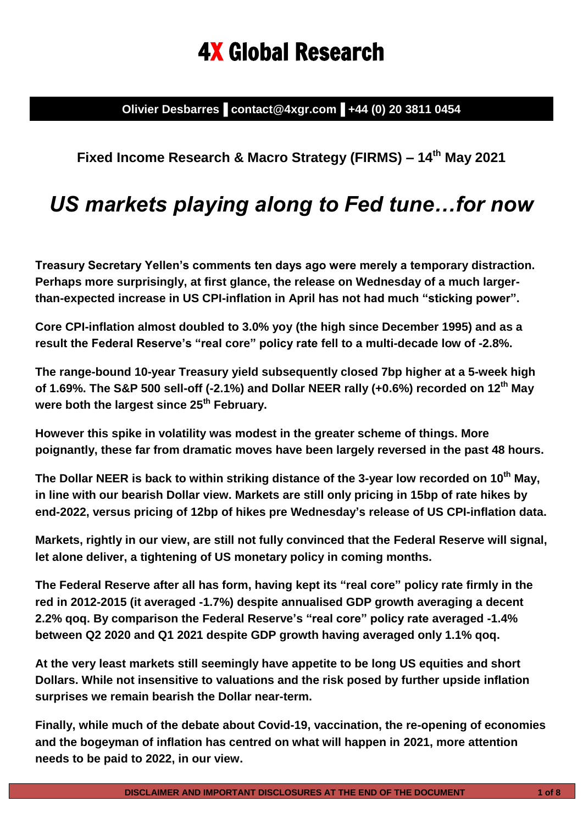# 4X Global Research

**Olivier Desbarres▐ contact@4xgr.com▐ +44 (0) 20 3811 0454**

### **Fixed Income Research & Macro Strategy (FIRMS) – 14th May 2021**

## *US markets playing along to Fed tune…for now*

**Treasury Secretary Yellen's comments ten days ago were merely a temporary distraction. Perhaps more surprisingly, at first glance, the release on Wednesday of a much largerthan-expected increase in US CPI-inflation in April has not had much "sticking power".**

**Core CPI-inflation almost doubled to 3.0% yoy (the high since December 1995) and as a result the Federal Reserve's "real core" policy rate fell to a multi-decade low of -2.8%.**

**The range-bound 10-year Treasury yield subsequently closed 7bp higher at a 5-week high of 1.69%. The S&P 500 sell-off (-2.1%) and Dollar NEER rally (+0.6%) recorded on 12th May were both the largest since 25th February.** 

**However this spike in volatility was modest in the greater scheme of things. More poignantly, these far from dramatic moves have been largely reversed in the past 48 hours.**

**The Dollar NEER is back to within striking distance of the 3-year low recorded on 10th May, in line with our bearish Dollar view. Markets are still only pricing in 15bp of rate hikes by end-2022, versus pricing of 12bp of hikes pre Wednesday's release of US CPI-inflation data.**

**Markets, rightly in our view, are still not fully convinced that the Federal Reserve will signal, let alone deliver, a tightening of US monetary policy in coming months.** 

**The Federal Reserve after all has form, having kept its "real core" policy rate firmly in the red in 2012-2015 (it averaged -1.7%) despite annualised GDP growth averaging a decent 2.2% qoq. By comparison the Federal Reserve's "real core" policy rate averaged -1.4% between Q2 2020 and Q1 2021 despite GDP growth having averaged only 1.1% qoq.**

**At the very least markets still seemingly have appetite to be long US equities and short Dollars. While not insensitive to valuations and the risk posed by further upside inflation surprises we remain bearish the Dollar near-term.**

**Finally, while much of the debate about Covid-19, vaccination, the re-opening of economies and the bogeyman of inflation has centred on what will happen in 2021, more attention needs to be paid to 2022, in our view.**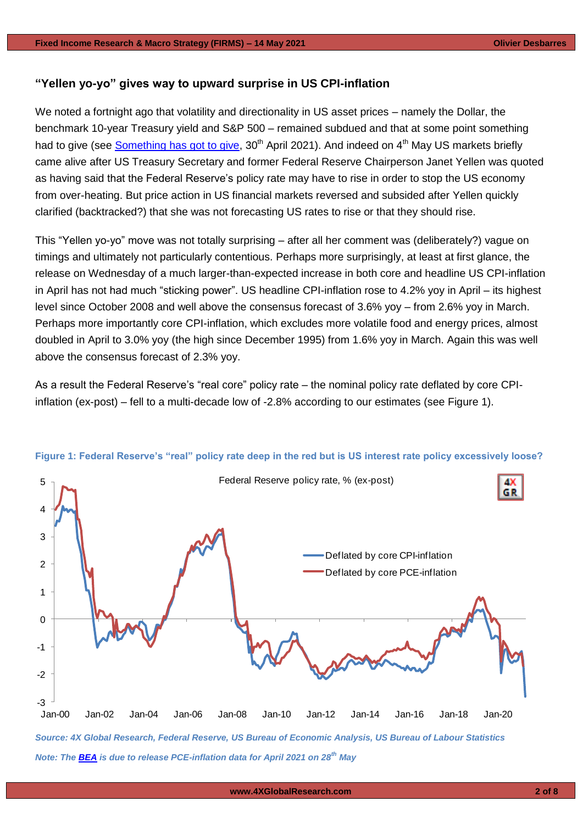#### **"Yellen yo-yo" gives way to upward surprise in US CPI-inflation**

We noted a fortnight ago that volatility and directionality in US asset prices – namely the Dollar, the benchmark 10-year Treasury yield and S&P 500 – remained subdued and that at some point something had to give (see [Something has got to give,](https://www.4xglobalresearch.com/wp-content/uploads/2021/04/4X-Global-Research_Something-has-got-to-give.pdf) 30<sup>th</sup> April 2021). And indeed on 4<sup>th</sup> May US markets briefly came alive after US Treasury Secretary and former Federal Reserve Chairperson Janet Yellen was quoted as having said that the Federal Reserve's policy rate may have to rise in order to stop the US economy from over-heating. But price action in US financial markets reversed and subsided after Yellen quickly clarified (backtracked?) that she was not forecasting US rates to rise or that they should rise.

This "Yellen yo-yo" move was not totally surprising – after all her comment was (deliberately?) vague on timings and ultimately not particularly contentious. Perhaps more surprisingly, at least at first glance, the release on Wednesday of a much larger-than-expected increase in both core and headline US CPI-inflation in April has not had much "sticking power". US headline CPI-inflation rose to 4.2% yoy in April – its highest level since October 2008 and well above the consensus forecast of 3.6% yoy – from 2.6% yoy in March. Perhaps more importantly core CPI-inflation, which excludes more volatile food and energy prices, almost doubled in April to 3.0% yoy (the high since December 1995) from 1.6% yoy in March. Again this was well above the consensus forecast of 2.3% yoy.

As a result the Federal Reserve's "real core" policy rate – the nominal policy rate deflated by core CPIinflation (ex-post) – fell to a multi-decade low of -2.8% according to our estimates (see Figure 1).



#### **Figure 1: Federal Reserve's "real" policy rate deep in the red but is US interest rate policy excessively loose?**

*Note: The [BEA](https://www.bea.gov/news/schedule) is due to release PCE-inflation data for April 2021 on 28th May*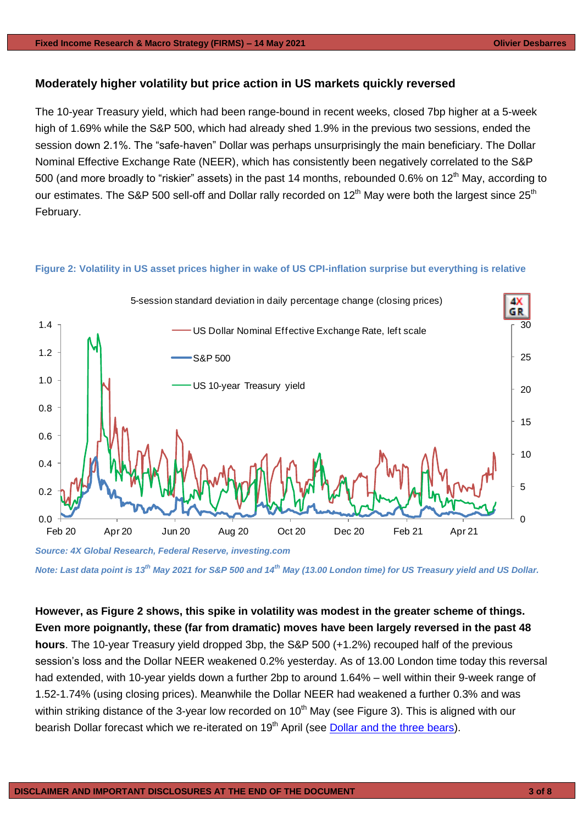#### **Moderately higher volatility but price action in US markets quickly reversed**

The 10-year Treasury yield, which had been range-bound in recent weeks, closed 7bp higher at a 5-week high of 1.69% while the S&P 500, which had already shed 1.9% in the previous two sessions, ended the session down 2.1%. The "safe-haven" Dollar was perhaps unsurprisingly the main beneficiary. The Dollar Nominal Effective Exchange Rate (NEER), which has consistently been negatively correlated to the S&P 500 (and more broadly to "riskier" assets) in the past 14 months, rebounded 0.6% on 12<sup>th</sup> May, according to our estimates. The S&P 500 sell-off and Dollar rally recorded on 12<sup>th</sup> May were both the largest since 25<sup>th</sup> February.

#### **Figure 2: Volatility in US asset prices higher in wake of US CPI-inflation surprise but everything is relative**



*Note: Last data point is 13th May 2021 for S&P 500 and 14th May (13.00 London time) for US Treasury yield and US Dollar.*

**However, as Figure 2 shows, this spike in volatility was modest in the greater scheme of things. Even more poignantly, these (far from dramatic) moves have been largely reversed in the past 48 hours**. The 10-year Treasury yield dropped 3bp, the S&P 500 (+1.2%) recouped half of the previous session's loss and the Dollar NEER weakened 0.2% yesterday. As of 13.00 London time today this reversal had extended, with 10-year yields down a further 2bp to around 1.64% – well within their 9-week range of 1.52-1.74% (using closing prices). Meanwhile the Dollar NEER had weakened a further 0.3% and was within striking distance of the 3-year low recorded on  $10<sup>th</sup>$  May (see Figure 3). This is aligned with our bearish Dollar forecast which we re-iterated on 19<sup>th</sup> April (see [Dollar and the three bears\)](https://www.4xglobalresearch.com/wp-content/uploads/2021/04/4X-Global-Research_Dollar-and-the-three-bears.pdf).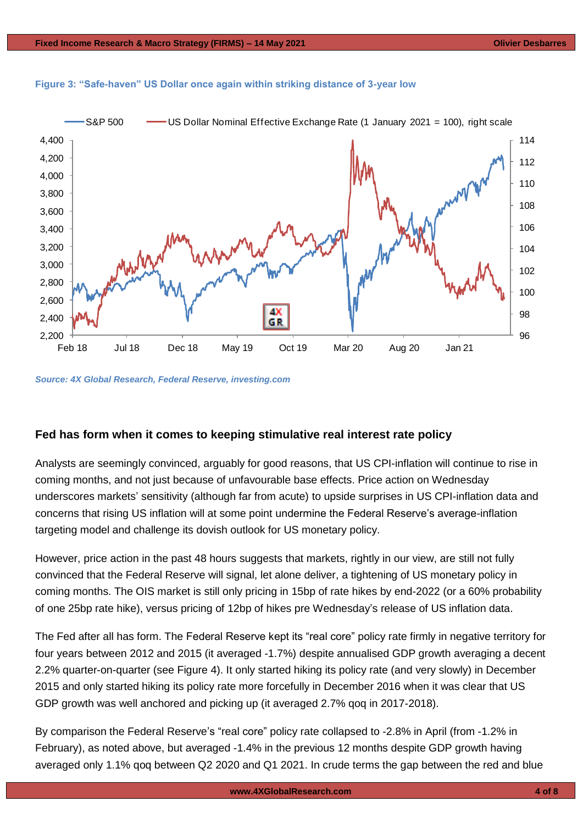

#### **Figure 3: "Safe-haven" US Dollar once again within striking distance of 3-year low**

*Source: 4X Global Research, Federal Reserve, investing.com*

#### **Fed has form when it comes to keeping stimulative real interest rate policy**

Analysts are seemingly convinced, arguably for good reasons, that US CPI-inflation will continue to rise in coming months, and not just because of unfavourable base effects. Price action on Wednesday underscores markets' sensitivity (although far from acute) to upside surprises in US CPI-inflation data and concerns that rising US inflation will at some point undermine the Federal Reserve's average-inflation targeting model and challenge its dovish outlook for US monetary policy.

However, price action in the past 48 hours suggests that markets, rightly in our view, are still not fully convinced that the Federal Reserve will signal, let alone deliver, a tightening of US monetary policy in coming months. The OIS market is still only pricing in 15bp of rate hikes by end-2022 (or a 60% probability of one 25bp rate hike), versus pricing of 12bp of hikes pre Wednesday's release of US inflation data.

The Fed after all has form. The Federal Reserve kept its "real core" policy rate firmly in negative territory for four years between 2012 and 2015 (it averaged -1.7%) despite annualised GDP growth averaging a decent 2.2% quarter-on-quarter (see Figure 4). It only started hiking its policy rate (and very slowly) in December 2015 and only started hiking its policy rate more forcefully in December 2016 when it was clear that US GDP growth was well anchored and picking up (it averaged 2.7% qoq in 2017-2018).

By comparison the Federal Reserve's "real core" policy rate collapsed to -2.8% in April (from -1.2% in February), as noted above, but averaged -1.4% in the previous 12 months despite GDP growth having averaged only 1.1% qoq between Q2 2020 and Q1 2021. In crude terms the gap between the red and blue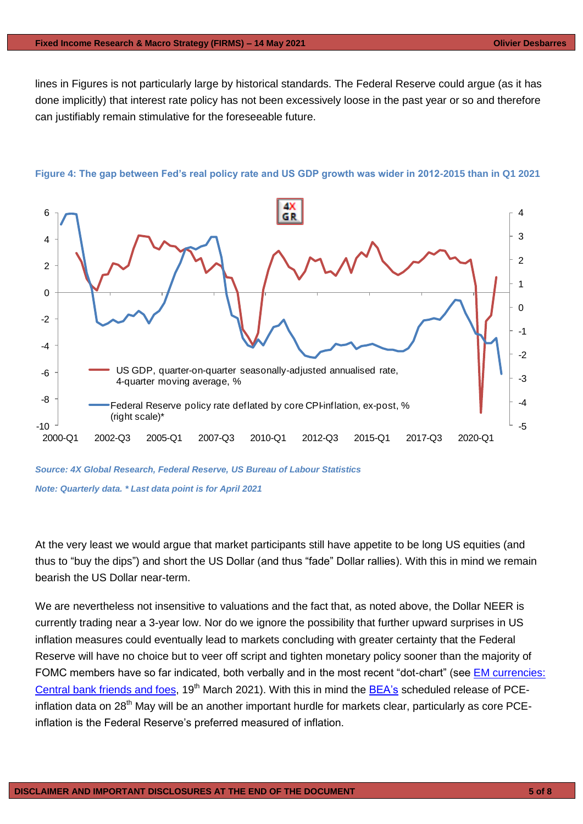lines in Figures is not particularly large by historical standards. The Federal Reserve could argue (as it has done implicitly) that interest rate policy has not been excessively loose in the past year or so and therefore can justifiably remain stimulative for the foreseeable future.



**Figure 4: The gap between Fed's real policy rate and US GDP growth was wider in 2012-2015 than in Q1 2021**

*Source: 4X Global Research, Federal Reserve, US Bureau of Labour Statistics*

*Note: Quarterly data. \* Last data point is for April 2021*

At the very least we would argue that market participants still have appetite to be long US equities (and thus to "buy the dips") and short the US Dollar (and thus "fade" Dollar rallies). With this in mind we remain bearish the US Dollar near-term.

We are nevertheless not insensitive to valuations and the fact that, as noted above, the Dollar NEER is currently trading near a 3-year low. Nor do we ignore the possibility that further upward surprises in US inflation measures could eventually lead to markets concluding with greater certainty that the Federal Reserve will have no choice but to veer off script and tighten monetary policy sooner than the majority of FOMC members have so far indicated, both verbally and in the most recent "dot-chart" (see [EM currencies:](https://www.4xglobalresearch.com/wp-content/uploads/2021/03/4X-Global-Reseach_EM-currencies_Central-bank-friends-and-foes.pdf)  [Central bank friends and foes,](https://www.4xglobalresearch.com/wp-content/uploads/2021/03/4X-Global-Reseach_EM-currencies_Central-bank-friends-and-foes.pdf) 19<sup>th</sup> March 2021). With this in mind the [BEA's](https://www.bea.gov/news/schedule) scheduled release of PCEinflation data on 28<sup>th</sup> May will be an another important hurdle for markets clear, particularly as core PCEinflation is the Federal Reserve's preferred measured of inflation.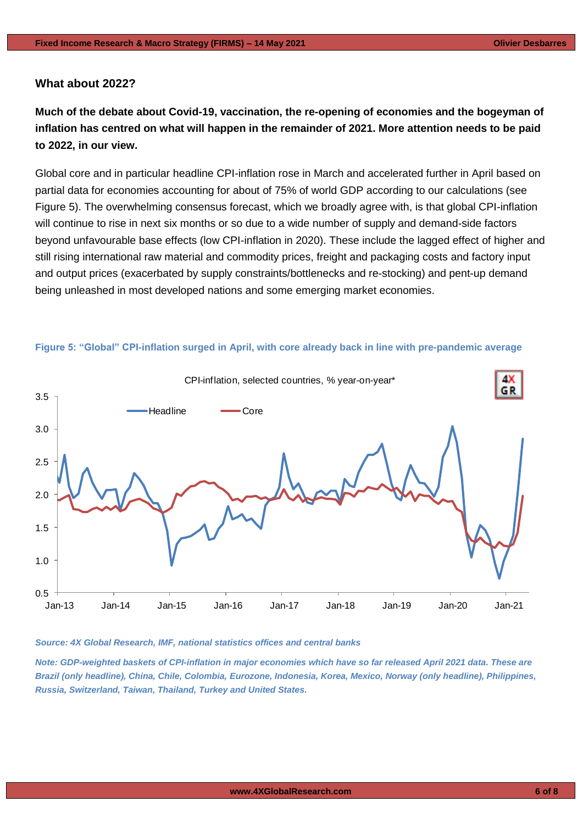#### **What about 2022?**

**Much of the debate about Covid-19, vaccination, the re-opening of economies and the bogeyman of inflation has centred on what will happen in the remainder of 2021. More attention needs to be paid to 2022, in our view.** 

Global core and in particular headline CPI-inflation rose in March and accelerated further in April based on partial data for economies accounting for about of 75% of world GDP according to our calculations (see Figure 5). The overwhelming consensus forecast, which we broadly agree with, is that global CPI-inflation will continue to rise in next six months or so due to a wide number of supply and demand-side factors beyond unfavourable base effects (low CPI-inflation in 2020). These include the lagged effect of higher and still rising international raw material and commodity prices, freight and packaging costs and factory input and output prices (exacerbated by supply constraints/bottlenecks and re-stocking) and pent-up demand being unleashed in most developed nations and some emerging market economies.



#### **Figure 5: "Global" CPI-inflation surged in April, with core already back in line with pre-pandemic average**

#### *Source: 4X Global Research, IMF, national statistics offices and central banks*

*Note: GDP-weighted baskets of CPI-inflation in major economies which have so far released April 2021 data. These are Brazil (only headline), China, Chile, Colombia, Eurozone, Indonesia, Korea, Mexico, Norway (only headline), Philippines, Russia, Switzerland, Taiwan, Thailand, Turkey and United States.*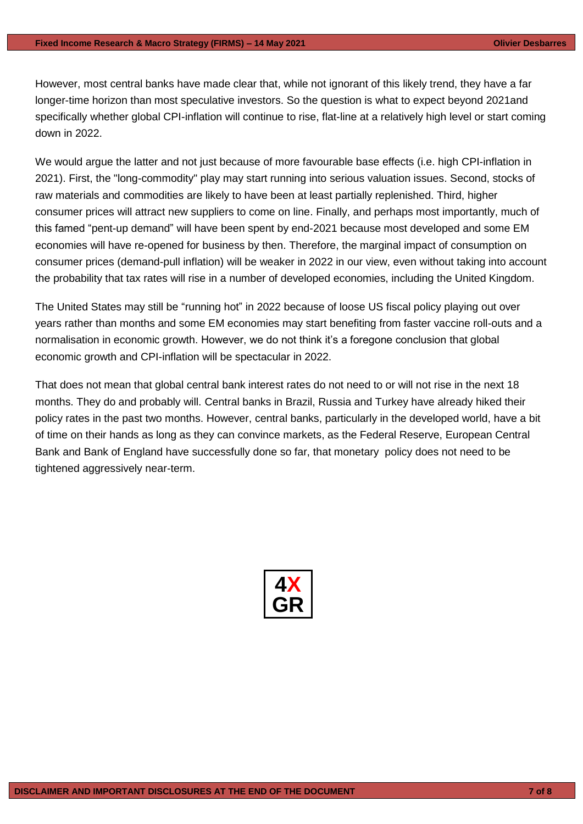However, most central banks have made clear that, while not ignorant of this likely trend, they have a far longer-time horizon than most speculative investors. So the question is what to expect beyond 2021and specifically whether global CPI-inflation will continue to rise, flat-line at a relatively high level or start coming down in 2022.

We would argue the latter and not just because of more favourable base effects (i.e. high CPI-inflation in 2021). First, the "long-commodity" play may start running into serious valuation issues. Second, stocks of raw materials and commodities are likely to have been at least partially replenished. Third, higher consumer prices will attract new suppliers to come on line. Finally, and perhaps most importantly, much of this famed "pent-up demand" will have been spent by end-2021 because most developed and some EM economies will have re-opened for business by then. Therefore, the marginal impact of consumption on consumer prices (demand-pull inflation) will be weaker in 2022 in our view, even without taking into account the probability that tax rates will rise in a number of developed economies, including the United Kingdom.

The United States may still be "running hot" in 2022 because of loose US fiscal policy playing out over years rather than months and some EM economies may start benefiting from faster vaccine roll-outs and a normalisation in economic growth. However, we do not think it's a foregone conclusion that global economic growth and CPI-inflation will be spectacular in 2022.

That does not mean that global central bank interest rates do not need to or will not rise in the next 18 months. They do and probably will. Central banks in Brazil, Russia and Turkey have already hiked their policy rates in the past two months. However, central banks, particularly in the developed world, have a bit of time on their hands as long as they can convince markets, as the Federal Reserve, European Central Bank and Bank of England have successfully done so far, that monetary policy does not need to be tightened aggressively near-term.